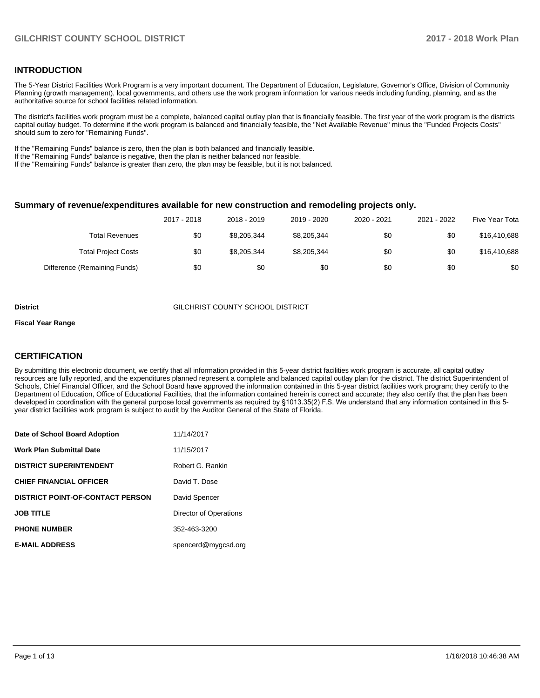## **INTRODUCTION**

The 5-Year District Facilities Work Program is a very important document. The Department of Education, Legislature, Governor's Office, Division of Community Planning (growth management), local governments, and others use the work program information for various needs including funding, planning, and as the authoritative source for school facilities related information.

The district's facilities work program must be a complete, balanced capital outlay plan that is financially feasible. The first year of the work program is the districts capital outlay budget. To determine if the work program is balanced and financially feasible, the "Net Available Revenue" minus the "Funded Projects Costs" should sum to zero for "Remaining Funds".

If the "Remaining Funds" balance is zero, then the plan is both balanced and financially feasible.

If the "Remaining Funds" balance is negative, then the plan is neither balanced nor feasible.

If the "Remaining Funds" balance is greater than zero, the plan may be feasible, but it is not balanced.

#### **Summary of revenue/expenditures available for new construction and remodeling projects only.**

|                              | 2017 - 2018 | 2018 - 2019 | 2019 - 2020 | 2020 - 2021 | 2021 - 2022 | Five Year Tota |
|------------------------------|-------------|-------------|-------------|-------------|-------------|----------------|
| Total Revenues               | \$0         | \$8,205,344 | \$8,205,344 | \$0         | \$0         | \$16,410,688   |
| <b>Total Project Costs</b>   | \$0         | \$8,205,344 | \$8,205,344 | \$0         | \$0         | \$16,410,688   |
| Difference (Remaining Funds) | \$0         | \$0         | \$0         | \$0         | \$0         | \$0            |

#### **District** GILCHRIST COUNTY SCHOOL DISTRICT

#### **Fiscal Year Range**

## **CERTIFICATION**

By submitting this electronic document, we certify that all information provided in this 5-year district facilities work program is accurate, all capital outlay resources are fully reported, and the expenditures planned represent a complete and balanced capital outlay plan for the district. The district Superintendent of Schools, Chief Financial Officer, and the School Board have approved the information contained in this 5-year district facilities work program; they certify to the Department of Education, Office of Educational Facilities, that the information contained herein is correct and accurate; they also certify that the plan has been developed in coordination with the general purpose local governments as required by §1013.35(2) F.S. We understand that any information contained in this 5year district facilities work program is subject to audit by the Auditor General of the State of Florida.

| Date of School Board Adoption           | 11/14/2017             |
|-----------------------------------------|------------------------|
| Work Plan Submittal Date                | 11/15/2017             |
| <b>DISTRICT SUPERINTENDENT</b>          | Robert G. Rankin       |
| <b>CHIEF FINANCIAL OFFICER</b>          | David T. Dose          |
| <b>DISTRICT POINT-OF-CONTACT PERSON</b> | David Spencer          |
| <b>JOB TITLE</b>                        | Director of Operations |
| <b>PHONE NUMBER</b>                     | 352-463-3200           |
| <b>E-MAIL ADDRESS</b>                   | spencerd@mygcsd.org    |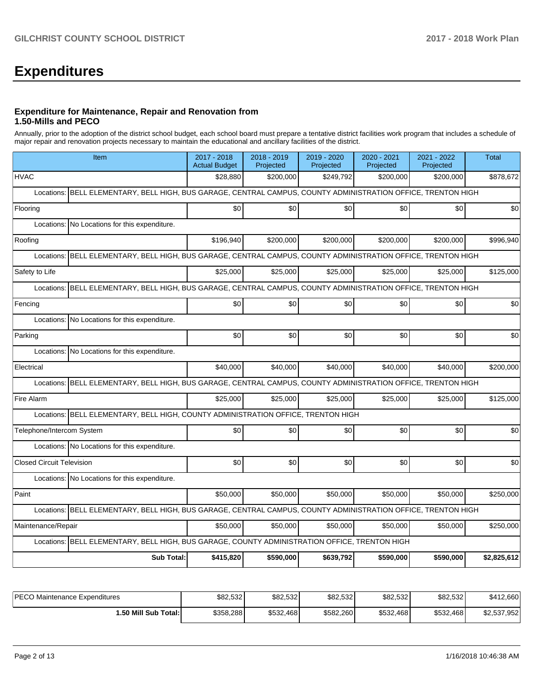# **Expenditures**

### **Expenditure for Maintenance, Repair and Renovation from 1.50-Mills and PECO**

Annually, prior to the adoption of the district school budget, each school board must prepare a tentative district facilities work program that includes a schedule of major repair and renovation projects necessary to maintain the educational and ancillary facilities of the district.

| Item                                                                                                             | 2017 - 2018<br><b>Actual Budget</b> | $2018 - 2019$<br>Projected | 2019 - 2020<br>Projected | 2020 - 2021<br>Projected | 2021 - 2022<br>Projected | <b>Total</b> |  |  |  |  |  |
|------------------------------------------------------------------------------------------------------------------|-------------------------------------|----------------------------|--------------------------|--------------------------|--------------------------|--------------|--|--|--|--|--|
| <b>HVAC</b>                                                                                                      | \$28,880                            | \$200,000                  | \$249,792                | \$200,000                | \$200,000                | \$878,672    |  |  |  |  |  |
| BELL ELEMENTARY, BELL HIGH, BUS GARAGE, CENTRAL CAMPUS, COUNTY ADMINISTRATION OFFICE, TRENTON HIGH<br>Locations: |                                     |                            |                          |                          |                          |              |  |  |  |  |  |
| Flooring                                                                                                         | \$0                                 | \$0                        | \$0                      | \$0                      | \$0                      | \$0          |  |  |  |  |  |
| Locations: No Locations for this expenditure.                                                                    |                                     |                            |                          |                          |                          |              |  |  |  |  |  |
| Roofing                                                                                                          | \$196,940                           | \$200,000                  | \$200,000                | \$200,000                | \$200,000                | \$996,940    |  |  |  |  |  |
| BELL ELEMENTARY, BELL HIGH, BUS GARAGE, CENTRAL CAMPUS, COUNTY ADMINISTRATION OFFICE, TRENTON HIGH<br>Locations: |                                     |                            |                          |                          |                          |              |  |  |  |  |  |
| Safety to Life                                                                                                   | \$25,000                            | \$25,000                   | \$25,000                 | \$25,000                 | \$25,000                 | \$125,000    |  |  |  |  |  |
| BELL ELEMENTARY, BELL HIGH, BUS GARAGE, CENTRAL CAMPUS, COUNTY ADMINISTRATION OFFICE, TRENTON HIGH<br>Locations: |                                     |                            |                          |                          |                          |              |  |  |  |  |  |
| Fencing                                                                                                          | \$0                                 | \$0                        | \$0                      | \$0                      | \$0                      | \$0          |  |  |  |  |  |
| Locations: No Locations for this expenditure.                                                                    |                                     |                            |                          |                          |                          |              |  |  |  |  |  |
| Parking                                                                                                          | \$0                                 | \$0                        | \$0                      | \$0                      | \$0                      | \$0          |  |  |  |  |  |
| Locations: No Locations for this expenditure.                                                                    |                                     |                            |                          |                          |                          |              |  |  |  |  |  |
| Electrical                                                                                                       | \$40,000                            | \$40,000                   | \$40,000                 | \$40,000                 | \$40,000                 | \$200,000    |  |  |  |  |  |
| BELL ELEMENTARY, BELL HIGH, BUS GARAGE, CENTRAL CAMPUS, COUNTY ADMINISTRATION OFFICE, TRENTON HIGH<br>Locations: |                                     |                            |                          |                          |                          |              |  |  |  |  |  |
| Fire Alarm                                                                                                       | \$25,000                            | \$25,000                   | \$25,000                 | \$25,000                 | \$25,000                 | \$125,000    |  |  |  |  |  |
| Locations: BELL ELEMENTARY, BELL HIGH, COUNTY ADMINISTRATION OFFICE, TRENTON HIGH                                |                                     |                            |                          |                          |                          |              |  |  |  |  |  |
| Telephone/Intercom System                                                                                        | \$0                                 | \$0                        | \$0                      | \$0                      | \$0                      | \$0          |  |  |  |  |  |
| Locations: No Locations for this expenditure.                                                                    |                                     |                            |                          |                          |                          |              |  |  |  |  |  |
| <b>Closed Circuit Television</b>                                                                                 | \$0                                 | \$0                        | \$0                      | \$0                      | \$0                      | \$0          |  |  |  |  |  |
| Locations: No Locations for this expenditure.                                                                    |                                     |                            |                          |                          |                          |              |  |  |  |  |  |
| Paint                                                                                                            | \$50,000                            | \$50,000                   | \$50,000                 | \$50,000                 | \$50,000                 | \$250,000    |  |  |  |  |  |
| Locations: BELL ELEMENTARY, BELL HIGH, BUS GARAGE, CENTRAL CAMPUS, COUNTY ADMINISTRATION OFFICE, TRENTON HIGH    |                                     |                            |                          |                          |                          |              |  |  |  |  |  |
| Maintenance/Repair                                                                                               | \$50,000                            | \$50,000                   | \$50,000                 | \$50,000                 | \$50,000                 | \$250,000    |  |  |  |  |  |
| Locations: BELL ELEMENTARY, BELL HIGH, BUS GARAGE, COUNTY ADMINISTRATION OFFICE, TRENTON HIGH                    |                                     |                            |                          |                          |                          |              |  |  |  |  |  |
| <b>Sub Total:</b>                                                                                                | \$415,820                           | \$590,000                  | \$639,792                | \$590,000                | \$590,000                | \$2,825,612  |  |  |  |  |  |

| <b>IPECO Maintenance Expenditures</b> | \$82,532  | \$82,532  | \$82,532  | \$82,532  | \$82,532  | \$412,660   |
|---------------------------------------|-----------|-----------|-----------|-----------|-----------|-------------|
| I.50 Mill Sub Total: I                | \$358,288 | \$532.468 | \$582.260 | \$532,468 | \$532,468 | \$2,537,952 |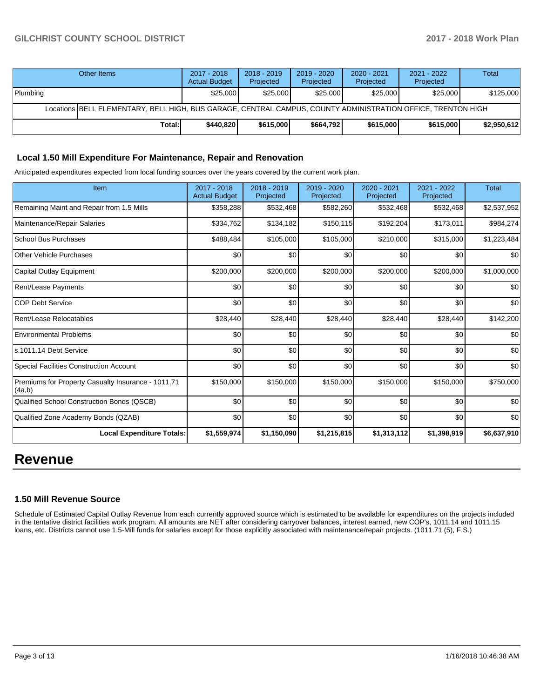|          | Other Items                                                                                                  | 2017 - 2018<br><b>Actual Budget</b> | $2018 - 2019$<br>Projected | $2019 - 2020$<br>Projected | $2020 - 2021$<br><b>Projected</b> | 2021 - 2022<br>Projected | <b>Total</b> |  |  |
|----------|--------------------------------------------------------------------------------------------------------------|-------------------------------------|----------------------------|----------------------------|-----------------------------------|--------------------------|--------------|--|--|
| Plumbing |                                                                                                              | \$25,000                            | \$25,000                   | \$25,000                   | \$25,000                          | \$25,000                 | \$125,000    |  |  |
|          | Locations BELL ELEMENTARY, BELL HIGH, BUS GARAGE, CENTRAL CAMPUS, COUNTY ADMINISTRATION OFFICE, TRENTON HIGH |                                     |                            |                            |                                   |                          |              |  |  |
|          | Total:I                                                                                                      | \$440.820                           | \$615,000                  | \$664.792                  | \$615,000                         | \$615,000                | \$2,950,612  |  |  |

## **Local 1.50 Mill Expenditure For Maintenance, Repair and Renovation**

Anticipated expenditures expected from local funding sources over the years covered by the current work plan.

| Item                                                         | 2017 - 2018<br><b>Actual Budget</b> | 2018 - 2019<br>Projected | 2019 - 2020<br>Projected | 2020 - 2021<br>Projected | $2021 - 2022$<br>Projected | <b>Total</b> |
|--------------------------------------------------------------|-------------------------------------|--------------------------|--------------------------|--------------------------|----------------------------|--------------|
| Remaining Maint and Repair from 1.5 Mills                    | \$358,288                           | \$532,468                | \$582,260                | \$532,468                | \$532,468                  | \$2,537,952  |
| Maintenance/Repair Salaries                                  | \$334,762                           | \$134,182                | \$150,115                | \$192,204                | \$173,011                  | \$984,274    |
| <b>School Bus Purchases</b>                                  | \$488,484                           | \$105,000                | \$105,000                | \$210,000                | \$315,000                  | \$1,223,484  |
| Other Vehicle Purchases                                      | \$0                                 | \$0                      | \$0                      | \$0                      | \$0                        | \$0          |
| Capital Outlay Equipment                                     | \$200,000                           | \$200,000                | \$200,000                | \$200,000                | \$200,000                  | \$1,000,000  |
| Rent/Lease Payments                                          | \$0                                 | \$0                      | \$0                      | \$0                      | \$0                        | \$0          |
| <b>COP Debt Service</b>                                      | \$0                                 | \$0                      | \$0                      | \$0                      | \$0                        | \$0          |
| Rent/Lease Relocatables                                      | \$28,440                            | \$28,440                 | \$28,440                 | \$28,440                 | \$28,440                   | \$142,200    |
| <b>Environmental Problems</b>                                | \$0                                 | \$0                      | \$0                      | \$0                      | \$0                        | \$0          |
| ls.1011.14 Debt Service                                      | \$0                                 | \$0                      | \$0                      | \$0                      | \$0                        | \$0          |
| <b>Special Facilities Construction Account</b>               | \$0                                 | \$0                      | \$0                      | \$0                      | \$0                        | \$0          |
| Premiums for Property Casualty Insurance - 1011.71<br>(4a,b) | \$150,000                           | \$150,000                | \$150,000                | \$150,000                | \$150,000                  | \$750,000    |
| Qualified School Construction Bonds (QSCB)                   | \$0                                 | \$0                      | \$0                      | \$0                      | \$0                        | \$0          |
| Qualified Zone Academy Bonds (QZAB)                          | \$0                                 | \$0                      | \$0                      | \$0                      | \$0                        | \$0          |
| <b>Local Expenditure Totals:</b>                             | \$1,559,974                         | \$1,150,090              | \$1,215,815              | \$1,313,112              | \$1,398,919                | \$6,637,910  |

## **Revenue**

## **1.50 Mill Revenue Source**

Schedule of Estimated Capital Outlay Revenue from each currently approved source which is estimated to be available for expenditures on the projects included in the tentative district facilities work program. All amounts are NET after considering carryover balances, interest earned, new COP's, 1011.14 and 1011.15 loans, etc. Districts cannot use 1.5-Mill funds for salaries except for those explicitly associated with maintenance/repair projects. (1011.71 (5), F.S.)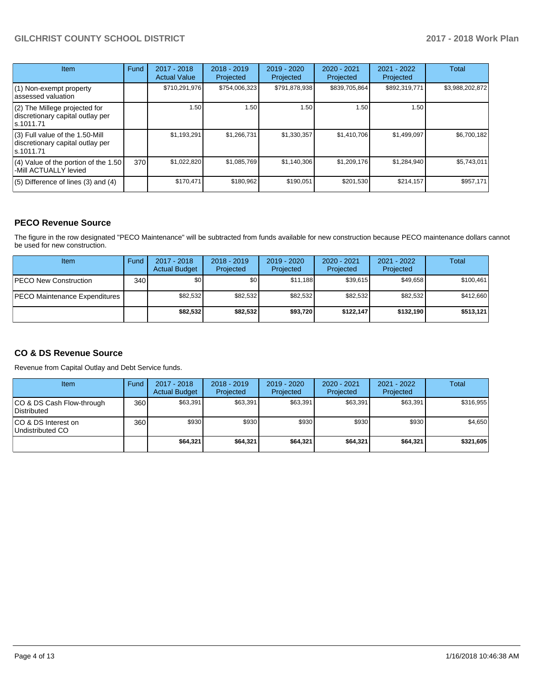| <b>Item</b>                                                                       | Fund | 2017 - 2018<br><b>Actual Value</b> | $2018 - 2019$<br>Projected | 2019 - 2020<br>Projected | $2020 - 2021$<br>Projected | $2021 - 2022$<br>Projected | <b>Total</b>    |
|-----------------------------------------------------------------------------------|------|------------------------------------|----------------------------|--------------------------|----------------------------|----------------------------|-----------------|
| $(1)$ Non-exempt property<br>lassessed valuation                                  |      | \$710,291,976                      | \$754,006,323              | \$791,878,938            | \$839,705,864              | \$892,319,771              | \$3,988,202,872 |
| (2) The Millege projected for<br>discretionary capital outlay per<br>ls.1011.71   |      | 1.50                               | 1.50                       | 1.50                     | 1.50                       | 1.50                       |                 |
| (3) Full value of the 1.50-Mill<br>discretionary capital outlay per<br>ls.1011.71 |      | \$1,193,291                        | \$1,266,731                | \$1,330,357              | \$1,410,706                | \$1,499,097                | \$6,700,182     |
| (4) Value of the portion of the 1.50<br>-Mill ACTUALLY levied                     | 370  | \$1,022,820                        | \$1,085,769                | \$1,140,306              | \$1,209,176                | \$1,284,940                | \$5,743,011     |
| $(5)$ Difference of lines $(3)$ and $(4)$                                         |      | \$170,471                          | \$180,962                  | \$190,051                | \$201,530                  | \$214,157                  | \$957,171       |

## **PECO Revenue Source**

The figure in the row designated "PECO Maintenance" will be subtracted from funds available for new construction because PECO maintenance dollars cannot be used for new construction.

| Item                          | Fund             | $2017 - 2018$<br><b>Actual Budget</b> | $2018 - 2019$<br>Projected | 2019 - 2020<br>Projected | $2020 - 2021$<br>Projected | $2021 - 2022$<br>Projected | <b>Total</b> |
|-------------------------------|------------------|---------------------------------------|----------------------------|--------------------------|----------------------------|----------------------------|--------------|
| <b>IPECO New Construction</b> | 340 <sup>1</sup> | \$0                                   | \$0 <sub>1</sub>           | \$11.188                 | \$39,615                   | \$49.658                   | \$100,461    |
| PECO Maintenance Expenditures |                  | \$82,532                              | \$82,532                   | \$82.532                 | \$82,532                   | \$82,532                   | \$412,660    |
|                               |                  | \$82,532                              | \$82,532                   | \$93,720                 | \$122.147                  | \$132.190                  | \$513,121    |

## **CO & DS Revenue Source**

Revenue from Capital Outlay and Debt Service funds.

| Item                                      | Fund | $2017 - 2018$<br><b>Actual Budget</b> | $2018 - 2019$<br>Projected | $2019 - 2020$<br>Projected | $2020 - 2021$<br>Projected | $2021 - 2022$<br>Projected | <b>Total</b> |
|-------------------------------------------|------|---------------------------------------|----------------------------|----------------------------|----------------------------|----------------------------|--------------|
| ICO & DS Cash Flow-through<br>Distributed | 360  | \$63.391                              | \$63,391                   | \$63,391                   | \$63,391                   | \$63,391                   | \$316.955    |
| ICO & DS Interest on<br>Undistributed CO  | 360  | \$930                                 | \$930                      | \$930                      | \$930                      | \$930                      | \$4,650      |
|                                           |      | \$64,321                              | \$64,321                   | \$64,321                   | \$64,321                   | \$64.321                   | \$321,605    |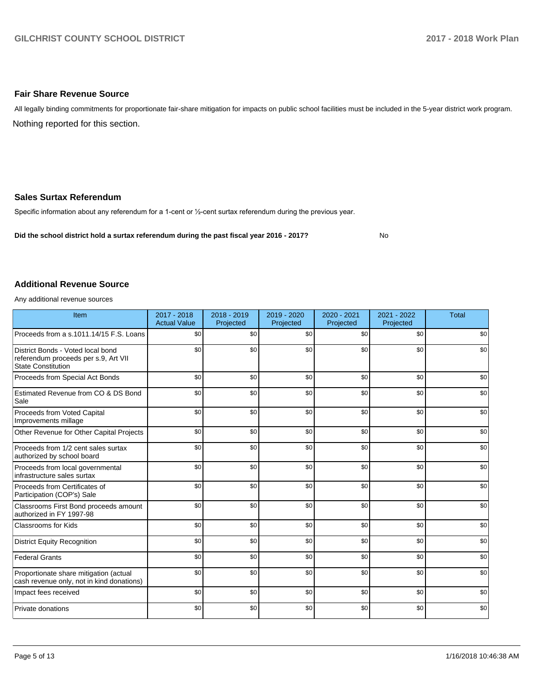### **Fair Share Revenue Source**

Nothing reported for this section. All legally binding commitments for proportionate fair-share mitigation for impacts on public school facilities must be included in the 5-year district work program.

### **Sales Surtax Referendum**

Specific information about any referendum for a 1-cent or 1/2-cent surtax referendum during the previous year.

**Did the school district hold a surtax referendum during the past fiscal year 2016 - 2017?**

No

#### **Additional Revenue Source**

Any additional revenue sources

| Item                                                                                                   | $2017 - 2018$<br><b>Actual Value</b> | $2018 - 2019$<br>Projected | 2019 - 2020<br>Projected | 2020 - 2021<br>Projected | 2021 - 2022<br>Projected | <b>Total</b> |
|--------------------------------------------------------------------------------------------------------|--------------------------------------|----------------------------|--------------------------|--------------------------|--------------------------|--------------|
| Proceeds from a s.1011.14/15 F.S. Loans                                                                | \$0                                  | \$0                        | \$0                      | \$0                      | \$0                      | \$0          |
| District Bonds - Voted local bond<br>referendum proceeds per s.9, Art VII<br><b>State Constitution</b> | \$0                                  | \$0                        | \$0                      | \$0                      | \$0                      | \$0          |
| Proceeds from Special Act Bonds                                                                        | \$0                                  | \$0                        | \$0                      | \$0                      | \$0                      | \$0          |
| Estimated Revenue from CO & DS Bond<br>Sale                                                            | \$0                                  | \$0                        | \$0                      | \$0                      | \$0                      | \$0          |
| Proceeds from Voted Capital<br>Improvements millage                                                    | \$0                                  | \$0                        | \$0                      | \$0                      | \$0                      | \$0          |
| Other Revenue for Other Capital Projects                                                               | \$0                                  | \$0                        | \$0                      | \$0                      | \$0                      | \$0          |
| Proceeds from 1/2 cent sales surtax<br>authorized by school board                                      | \$0                                  | \$0                        | \$0                      | \$0                      | \$0                      | \$0          |
| Proceeds from local governmental<br>infrastructure sales surtax                                        | \$0                                  | \$0                        | \$0                      | \$0                      | \$0                      | \$0          |
| Proceeds from Certificates of<br>Participation (COP's) Sale                                            | \$0                                  | \$0                        | \$0                      | \$0                      | \$0                      | \$0          |
| Classrooms First Bond proceeds amount<br>authorized in FY 1997-98                                      | \$0                                  | \$0                        | \$0                      | \$0                      | \$0                      | \$0          |
| <b>Classrooms for Kids</b>                                                                             | \$0                                  | \$0                        | \$0                      | \$0                      | \$0                      | \$0          |
| <b>District Equity Recognition</b>                                                                     | \$0                                  | \$0                        | \$0                      | \$0                      | \$0                      | \$0          |
| <b>Federal Grants</b>                                                                                  | \$0                                  | \$0                        | \$0                      | \$0                      | \$0                      | \$0          |
| Proportionate share mitigation (actual<br>cash revenue only, not in kind donations)                    | \$0                                  | \$0                        | \$0                      | \$0                      | \$0                      | \$0          |
| Impact fees received                                                                                   | \$0                                  | \$0                        | \$0                      | \$0                      | \$0                      | \$0          |
| Private donations                                                                                      | \$0                                  | \$0                        | \$0                      | \$0                      | \$0                      | \$0          |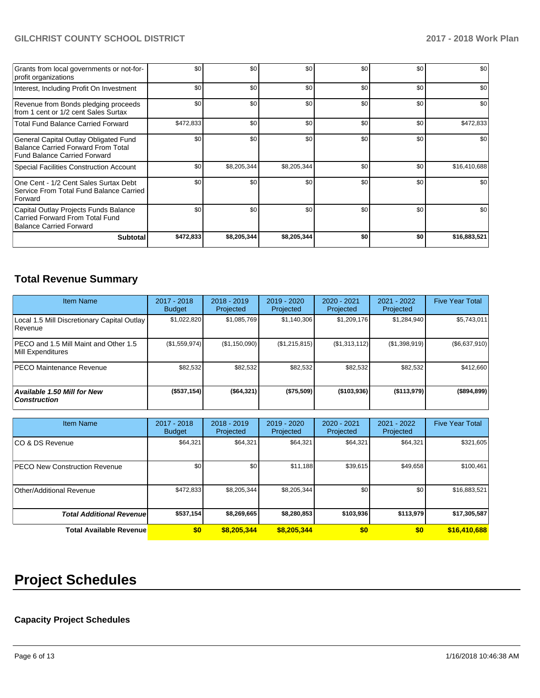| Grants from local governments or not-for-<br>profit organizations                                                         | \$0       | \$0         | \$0         | \$0 | \$0 | \$0          |
|---------------------------------------------------------------------------------------------------------------------------|-----------|-------------|-------------|-----|-----|--------------|
| Interest, Including Profit On Investment                                                                                  | \$0       | \$0         | \$0         | \$0 | \$0 | \$0          |
| Revenue from Bonds pledging proceeds<br>from 1 cent or 1/2 cent Sales Surtax                                              | \$0       | \$0         | \$0         | \$0 | \$0 | \$0          |
| <b>Total Fund Balance Carried Forward</b>                                                                                 | \$472,833 | \$0         | \$0         | \$0 | \$0 | \$472,833    |
| General Capital Outlay Obligated Fund<br><b>Balance Carried Forward From Total</b><br><b>Fund Balance Carried Forward</b> | \$0       | \$0         | \$0         | \$0 | \$0 | \$0          |
| <b>Special Facilities Construction Account</b>                                                                            | \$0       | \$8,205,344 | \$8,205,344 | \$0 | \$0 | \$16,410,688 |
| One Cent - 1/2 Cent Sales Surtax Debt<br>Service From Total Fund Balance Carried<br>Forward                               | \$0       | \$0         | \$0         | \$0 | \$0 | \$0          |
| Capital Outlay Projects Funds Balance<br>Carried Forward From Total Fund<br><b>Balance Carried Forward</b>                | \$0       | \$0         | \$0         | \$0 | \$0 | \$0          |
| <b>Subtotal</b>                                                                                                           | \$472,833 | \$8,205,344 | \$8,205,344 | \$0 | \$0 | \$16,883,521 |

## **Total Revenue Summary**

| <b>Item Name</b>                                              | 2017 - 2018<br><b>Budget</b> | $2018 - 2019$<br>Projected | 2019 - 2020<br>Projected | 2020 - 2021<br>Projected | 2021 - 2022<br>Projected | <b>Five Year Total</b> |
|---------------------------------------------------------------|------------------------------|----------------------------|--------------------------|--------------------------|--------------------------|------------------------|
| Local 1.5 Mill Discretionary Capital Outlay<br><b>Revenue</b> | \$1,022,820                  | \$1,085,769                | \$1,140,306              | \$1,209,176              | \$1,284,940              | \$5,743,011            |
| PECO and 1.5 Mill Maint and Other 1.5<br>Mill Expenditures    | (\$1,559,974)                | (\$1,150,090)              | (\$1,215,815)            | (\$1,313,112)            | (\$1,398,919)            | (\$6,637,910)          |
| <b>PECO Maintenance Revenue</b>                               | \$82,532                     | \$82,532                   | \$82,532                 | \$82,532                 | \$82,532                 | \$412,660              |
| <b>Available 1.50 Mill for New</b><br><b>Construction</b>     | (\$537,154)                  | (\$64,321)                 | (\$75,509)               | (\$103,936)              | (\$113,979)              | (\$894, 899)           |

| <b>Item Name</b>                      | 2017 - 2018<br><b>Budget</b> | $2018 - 2019$<br>Projected | $2019 - 2020$<br>Projected | 2020 - 2021<br>Projected | $2021 - 2022$<br>Projected | <b>Five Year Total</b> |
|---------------------------------------|------------------------------|----------------------------|----------------------------|--------------------------|----------------------------|------------------------|
| ICO & DS Revenue                      | \$64,321                     | \$64,321                   | \$64,321                   | \$64,321                 | \$64,321                   | \$321,605              |
| <b>IPECO New Construction Revenue</b> | \$0                          | \$0                        | \$11,188                   | \$39,615                 | \$49,658                   | \$100,461              |
| Other/Additional Revenue              | \$472,833                    | \$8,205,344                | \$8,205,344                | \$0                      | \$0                        | \$16,883,521           |
| <b>Total Additional Revenuel</b>      | \$537,154                    | \$8,269,665                | \$8,280,853                | \$103,936                | \$113,979                  | \$17,305,587           |
| <b>Total Available Revenue</b>        | \$0                          | \$8,205,344                | \$8,205,344                | \$0                      | \$0                        | \$16,410,688           |

# **Project Schedules**

## **Capacity Project Schedules**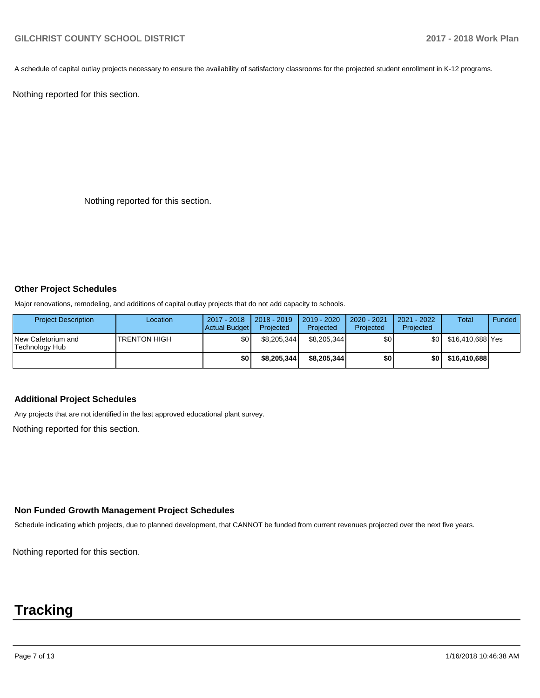A schedule of capital outlay projects necessary to ensure the availability of satisfactory classrooms for the projected student enrollment in K-12 programs.

Nothing reported for this section.

Nothing reported for this section.

#### **Other Project Schedules**

Major renovations, remodeling, and additions of capital outlay projects that do not add capacity to schools.

| <b>Project Description</b>           | Location            | 2017 - 2018<br>Actual Budget | $2018 - 2019$<br>Projected | $2019 - 2020$<br>Projected | $2020 - 2021$<br>Projected | 2021 - 2022<br>Projected | <b>Total</b>     | Funded |
|--------------------------------------|---------------------|------------------------------|----------------------------|----------------------------|----------------------------|--------------------------|------------------|--------|
| New Cafetorium and<br>Technology Hub | <b>TRENTON HIGH</b> | \$0                          | \$8.205.344                | \$8,205,344                | \$0                        | <b>\$01</b>              | \$16,410,688 Yes |        |
|                                      |                     | \$0                          | \$8,205,344                | \$8,205,344                | \$0                        | \$0                      | \$16,410,688     |        |

## **Additional Project Schedules**

Any projects that are not identified in the last approved educational plant survey.

Nothing reported for this section.

## **Non Funded Growth Management Project Schedules**

Schedule indicating which projects, due to planned development, that CANNOT be funded from current revenues projected over the next five years.

Nothing reported for this section.

## **Tracking**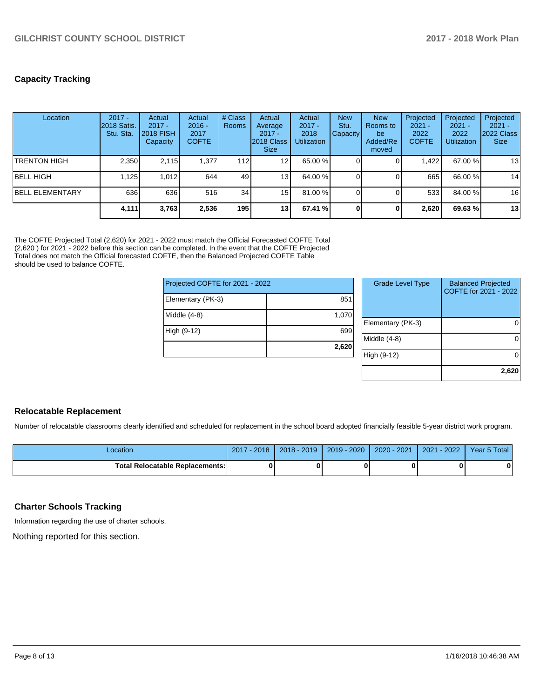**2,620**

## **Capacity Tracking**

| Location               | $2017 -$<br>2018 Satis.<br>Stu. Sta. | Actual<br>$2017 -$<br>2018 FISH<br>Capacity | Actual<br>$2016 -$<br>2017<br><b>COFTE</b> | # Class<br>Rooms | Actual<br>Average<br>$2017 -$<br>2018 Class<br><b>Size</b> | Actual<br>$2017 -$<br>2018<br><b>Utilization</b> | <b>New</b><br>Stu.<br><b>Capacity</b> | <b>New</b><br><b>Rooms</b> to<br>be<br>Added/Re<br>moved | Projected<br>$2021 -$<br>2022<br><b>COFTE</b> | Projected<br>$2021 -$<br>2022<br><b>Utilization</b> | Projected<br>$2021 -$<br>2022 Class<br><b>Size</b> |
|------------------------|--------------------------------------|---------------------------------------------|--------------------------------------------|------------------|------------------------------------------------------------|--------------------------------------------------|---------------------------------------|----------------------------------------------------------|-----------------------------------------------|-----------------------------------------------------|----------------------------------------------------|
| <b>TRENTON HIGH</b>    | 2.350                                | 2.115                                       | 1.377                                      | 112              | 12 <sub>1</sub>                                            | 65.00 %                                          |                                       |                                                          | 1,422                                         | 67.00 %                                             | 13                                                 |
| <b>BELL HIGH</b>       | 1.125                                | 1.012                                       | 644                                        | 49               | 13 <sub>1</sub>                                            | 64.00 %                                          |                                       |                                                          | 665                                           | 66.00 %                                             | 14                                                 |
| <b>BELL ELEMENTARY</b> | 636                                  | 636                                         | 516                                        | 34               | 15                                                         | 81.00 %                                          |                                       |                                                          | 533                                           | 84.00 %                                             | 16                                                 |
|                        | 4,111                                | 3.763                                       | 2,536                                      | 195              | 13 <sub>1</sub>                                            | 67.41 %                                          | $\Omega$                              |                                                          | 2.620                                         | 69.63%                                              | 13                                                 |

The COFTE Projected Total (2,620) for 2021 - 2022 must match the Official Forecasted COFTE Total (2,620 ) for 2021 - 2022 before this section can be completed. In the event that the COFTE Projected Total does not match the Official forecasted COFTE, then the Balanced Projected COFTE Table should be used to balance COFTE.

| Projected COFTE for 2021 - 2022 |       | <b>Grade Level Type</b> | <b>Balanced Projected</b><br>COFTE for 2021 - 2022 |  |
|---------------------------------|-------|-------------------------|----------------------------------------------------|--|
| Elementary (PK-3)               | 851   |                         |                                                    |  |
| Middle (4-8)                    | 1,070 |                         |                                                    |  |
|                                 |       | Elementary (PK-3)       |                                                    |  |
| High (9-12)                     | 699   |                         |                                                    |  |
|                                 |       | Middle (4-8)            | Ω                                                  |  |
|                                 | 2,620 |                         |                                                    |  |
|                                 |       | High (9-12)             | 0                                                  |  |
|                                 |       |                         |                                                    |  |

| <b>Relocatable Replacement</b> |
|--------------------------------|
|                                |

Number of relocatable classrooms clearly identified and scheduled for replacement in the school board adopted financially feasible 5-year district work program.

| _ocation                               | 2018<br>2017 | $2018 - 2019$ | $2019 - 2020$ | $2020 - 2021$ | $-2022$<br>2021 | Year 5 Total |
|----------------------------------------|--------------|---------------|---------------|---------------|-----------------|--------------|
| <b>Total Relocatable Replacements:</b> |              |               |               |               |                 |              |

## **Charter Schools Tracking**

Information regarding the use of charter schools.

Nothing reported for this section.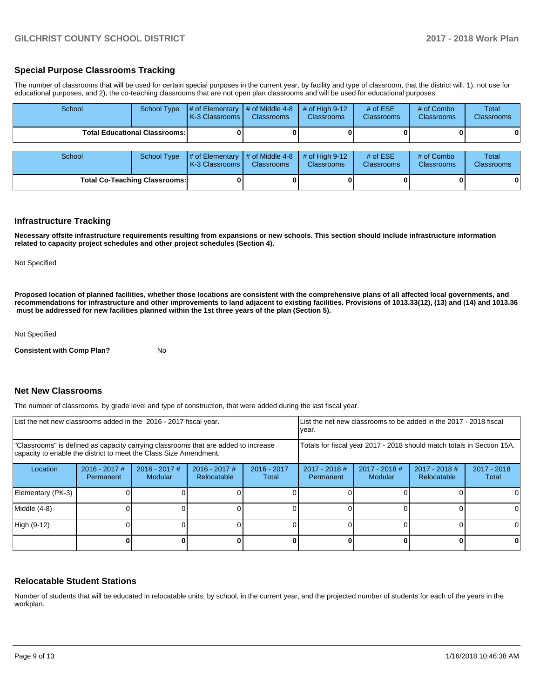### **Special Purpose Classrooms Tracking**

The number of classrooms that will be used for certain special purposes in the current year, by facility and type of classroom, that the district will, 1), not use for educational purposes, and 2), the co-teaching classrooms that are not open plan classrooms and will be used for educational purposes.

| School                               | <b>School Type</b> | # of Elementary<br>K-3 Classrooms | # of Middle 4-8<br><b>Classrooms</b> | # of High $9-12$<br><b>Classrooms</b> | # of $ESE$<br>Classrooms | # of Combo<br><b>Classrooms</b> | Total<br>Classrooms |
|--------------------------------------|--------------------|-----------------------------------|--------------------------------------|---------------------------------------|--------------------------|---------------------------------|---------------------|
| <b>Total Educational Classrooms:</b> |                    |                                   |                                      |                                       |                          | 0                               |                     |
| School                               | <b>School Type</b> | # of Elementary                   | # of Middle 4-8                      | # of High $9-12$                      | # of $ESE$               | # of Combo                      | Total               |
|                                      |                    | K-3 Classrooms                    | <b>Classrooms</b>                    | Classrooms                            | Classrooms               | <b>Classrooms</b>               | Classrooms          |
| <b>Total Co-Teaching Classrooms:</b> |                    |                                   |                                      |                                       |                          |                                 | 0                   |

#### **Infrastructure Tracking**

**Necessary offsite infrastructure requirements resulting from expansions or new schools. This section should include infrastructure information related to capacity project schedules and other project schedules (Section 4).** 

Not Specified

**Proposed location of planned facilities, whether those locations are consistent with the comprehensive plans of all affected local governments, and recommendations for infrastructure and other improvements to land adjacent to existing facilities. Provisions of 1013.33(12), (13) and (14) and 1013.36 must be addressed for new facilities planned within the 1st three years of the plan (Section 5).** 

Not Specified

**Consistent with Comp Plan?** No

#### **Net New Classrooms**

The number of classrooms, by grade level and type of construction, that were added during the last fiscal year.

| List the net new classrooms added in the 2016 - 2017 fiscal year.                                                                                       |                              |                                   |                                |                        | List the net new classrooms to be added in the 2017 - 2018 fiscal<br>year. |                                   |                                |                        |  |
|---------------------------------------------------------------------------------------------------------------------------------------------------------|------------------------------|-----------------------------------|--------------------------------|------------------------|----------------------------------------------------------------------------|-----------------------------------|--------------------------------|------------------------|--|
| "Classrooms" is defined as capacity carrying classrooms that are added to increase<br>capacity to enable the district to meet the Class Size Amendment. |                              |                                   |                                |                        | Totals for fiscal year 2017 - 2018 should match totals in Section 15A.     |                                   |                                |                        |  |
| Location                                                                                                                                                | $2016 - 2017$ #<br>Permanent | $2016 - 2017$ #<br><b>Modular</b> | $2016 - 2017$ #<br>Relocatable | $2016 - 2017$<br>Total | $2017 - 2018$ #<br>Permanent                                               | $2017 - 2018$ #<br><b>Modular</b> | $2017 - 2018$ #<br>Relocatable | $2017 - 2018$<br>Total |  |
| Elementary (PK-3)                                                                                                                                       |                              |                                   |                                |                        |                                                                            |                                   |                                |                        |  |
| Middle (4-8)                                                                                                                                            |                              |                                   |                                |                        |                                                                            |                                   |                                |                        |  |
| High (9-12)                                                                                                                                             |                              |                                   |                                |                        |                                                                            |                                   |                                | $\Omega$               |  |
|                                                                                                                                                         |                              |                                   |                                |                        |                                                                            |                                   |                                |                        |  |

#### **Relocatable Student Stations**

Number of students that will be educated in relocatable units, by school, in the current year, and the projected number of students for each of the years in the workplan.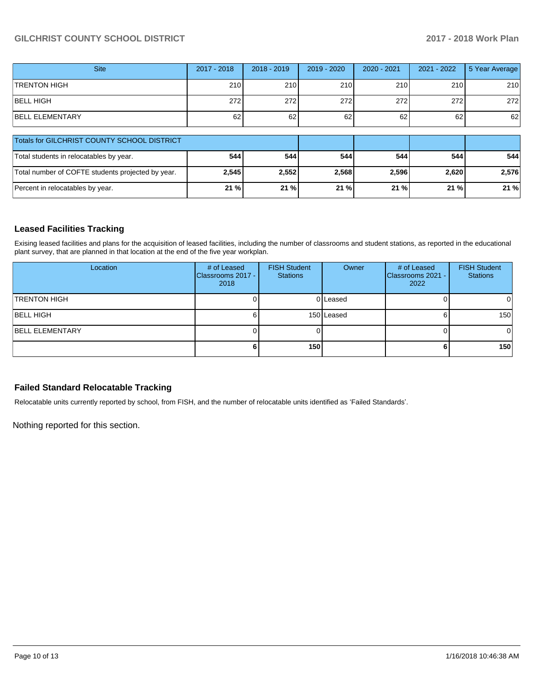| <b>Site</b>                                       | 2017 - 2018 | $2018 - 2019$ | 2019 - 2020 | 2020 - 2021 | 2021 - 2022 | 5 Year Average |
|---------------------------------------------------|-------------|---------------|-------------|-------------|-------------|----------------|
| <b>TRENTON HIGH</b>                               | 210         | 210           | 210         | 210         | 210         | 210            |
| <b>BELL HIGH</b>                                  | 272         | 272           | 272         | 272         | 272         | 272            |
| <b>BELL ELEMENTARY</b>                            | 62          | 62            | 62          | 62          | 62          | 62             |
| Totals for GILCHRIST COUNTY SCHOOL DISTRICT       |             |               |             |             |             |                |
| Total students in relocatables by year.           | 544         | 544           | 544         | 544         | 544         | 544            |
| Total number of COFTE students projected by year. | 2,545       | 2,552         | 2,568       | 2,596       | 2,620       | 2,576          |
| Percent in relocatables by year.                  | 21 %        | 21 %          | 21 %        | 21 %        | 21%         | 21%            |

## **Leased Facilities Tracking**

Exising leased facilities and plans for the acquisition of leased facilities, including the number of classrooms and student stations, as reported in the educational plant survey, that are planned in that location at the end of the five year workplan.

| Location               | # of Leased<br>Classrooms 2017 -<br>2018 | <b>FISH Student</b><br><b>Stations</b> | Owner      | # of Leased<br><b>Classrooms 2021 -</b><br>2022 | <b>FISH Student</b><br><b>Stations</b> |
|------------------------|------------------------------------------|----------------------------------------|------------|-------------------------------------------------|----------------------------------------|
| <b>TRENTON HIGH</b>    |                                          |                                        | 0 Leased   |                                                 | 01                                     |
| <b>BELL HIGH</b>       |                                          |                                        | 150 Leased |                                                 | 150                                    |
| <b>BELL ELEMENTARY</b> |                                          |                                        |            |                                                 | 01                                     |
|                        |                                          | 150                                    |            |                                                 | 150                                    |

## **Failed Standard Relocatable Tracking**

Relocatable units currently reported by school, from FISH, and the number of relocatable units identified as 'Failed Standards'.

Nothing reported for this section.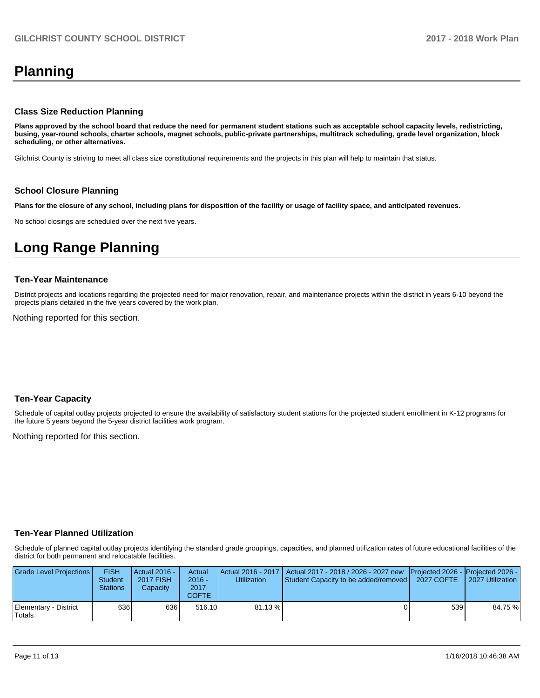## **Planning**

#### **Class Size Reduction Planning**

**Plans approved by the school board that reduce the need for permanent student stations such as acceptable school capacity levels, redistricting, busing, year-round schools, charter schools, magnet schools, public-private partnerships, multitrack scheduling, grade level organization, block scheduling, or other alternatives.**

Gilchrist County is striving to meet all class size constitutional requirements and the projects in this plan will help to maintain that status.

#### **School Closure Planning**

**Plans for the closure of any school, including plans for disposition of the facility or usage of facility space, and anticipated revenues.** 

No school closings are scheduled over the next five years.

## **Long Range Planning**

#### **Ten-Year Maintenance**

District projects and locations regarding the projected need for major renovation, repair, and maintenance projects within the district in years 6-10 beyond the projects plans detailed in the five years covered by the work plan.

Nothing reported for this section.

#### **Ten-Year Capacity**

Schedule of capital outlay projects projected to ensure the availability of satisfactory student stations for the projected student enrollment in K-12 programs for the future 5 years beyond the 5-year district facilities work program.

Nothing reported for this section.

#### **Ten-Year Planned Utilization**

Schedule of planned capital outlay projects identifying the standard grade groupings, capacities, and planned utilization rates of future educational facilities of the district for both permanent and relocatable facilities.

| Grade Level Projections         | <b>FISH</b><br><b>Student</b><br><b>Stations</b> | Actual 2016 -<br><b>2017 FISH</b><br>Capacity | Actual<br>$2016 -$<br>2017<br>COFTE | Utilization | Actual 2016 - 2017   Actual 2017 - 2018 / 2026 - 2027 new   Projected 2026 -   Projected 2026 -<br>Student Capacity to be added/removed   2027 COFTE |     | 2027 Utilization |
|---------------------------------|--------------------------------------------------|-----------------------------------------------|-------------------------------------|-------------|------------------------------------------------------------------------------------------------------------------------------------------------------|-----|------------------|
| Elementary - District<br>Totals | 636                                              | 636 I                                         | 516.10                              | 81.13 %     |                                                                                                                                                      | 539 | 84.75 %          |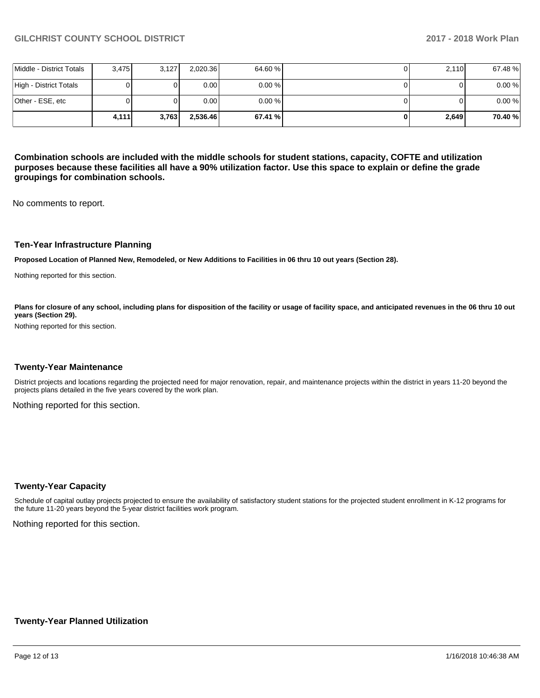|                          | 4.111 | 3.763 | 2.536.46 | 67.41 %   | 2,649 | 70.40% |
|--------------------------|-------|-------|----------|-----------|-------|--------|
| Other - ESE, etc         |       |       | 0.001    | $0.00 \%$ |       | 0.00%  |
| High - District Totals   |       |       | 0.00     | $0.00 \%$ |       | 0.00%  |
| Middle - District Totals | 3,475 | 3,127 | 2,020.36 | 64.60 %   | 2,110 | 67.48% |

**Combination schools are included with the middle schools for student stations, capacity, COFTE and utilization purposes because these facilities all have a 90% utilization factor. Use this space to explain or define the grade groupings for combination schools.** 

No comments to report.

#### **Ten-Year Infrastructure Planning**

**Proposed Location of Planned New, Remodeled, or New Additions to Facilities in 06 thru 10 out years (Section 28).**

Nothing reported for this section.

Plans for closure of any school, including plans for disposition of the facility or usage of facility space, and anticipated revenues in the 06 thru 10 out **years (Section 29).**

Nothing reported for this section.

#### **Twenty-Year Maintenance**

District projects and locations regarding the projected need for major renovation, repair, and maintenance projects within the district in years 11-20 beyond the projects plans detailed in the five years covered by the work plan.

Nothing reported for this section.

#### **Twenty-Year Capacity**

Schedule of capital outlay projects projected to ensure the availability of satisfactory student stations for the projected student enrollment in K-12 programs for the future 11-20 years beyond the 5-year district facilities work program.

Nothing reported for this section.

#### **Twenty-Year Planned Utilization**